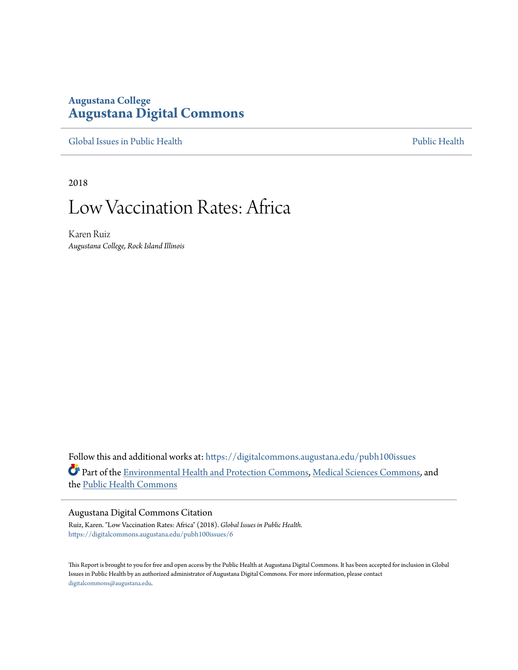# **Augustana College [Augustana Digital Commons](https://digitalcommons.augustana.edu?utm_source=digitalcommons.augustana.edu%2Fpubh100issues%2F6&utm_medium=PDF&utm_campaign=PDFCoverPages)**

[Global Issues in Public Health](https://digitalcommons.augustana.edu/pubh100issues?utm_source=digitalcommons.augustana.edu%2Fpubh100issues%2F6&utm_medium=PDF&utm_campaign=PDFCoverPages) [Public Health](https://digitalcommons.augustana.edu/publichealth?utm_source=digitalcommons.augustana.edu%2Fpubh100issues%2F6&utm_medium=PDF&utm_campaign=PDFCoverPages) Public Health Public Health Public Health

2018

# Low Vaccination Rates: Africa

Karen Ruiz *Augustana College, Rock Island Illinois*

Follow this and additional works at: [https://digitalcommons.augustana.edu/pubh100issues](https://digitalcommons.augustana.edu/pubh100issues?utm_source=digitalcommons.augustana.edu%2Fpubh100issues%2F6&utm_medium=PDF&utm_campaign=PDFCoverPages) Part of the [Environmental Health and Protection Commons,](http://network.bepress.com/hgg/discipline/172?utm_source=digitalcommons.augustana.edu%2Fpubh100issues%2F6&utm_medium=PDF&utm_campaign=PDFCoverPages) [Medical Sciences Commons,](http://network.bepress.com/hgg/discipline/664?utm_source=digitalcommons.augustana.edu%2Fpubh100issues%2F6&utm_medium=PDF&utm_campaign=PDFCoverPages) and the [Public Health Commons](http://network.bepress.com/hgg/discipline/738?utm_source=digitalcommons.augustana.edu%2Fpubh100issues%2F6&utm_medium=PDF&utm_campaign=PDFCoverPages)

#### Augustana Digital Commons Citation

Ruiz, Karen. "Low Vaccination Rates: Africa" (2018). *Global Issues in Public Health.* [https://digitalcommons.augustana.edu/pubh100issues/6](https://digitalcommons.augustana.edu/pubh100issues/6?utm_source=digitalcommons.augustana.edu%2Fpubh100issues%2F6&utm_medium=PDF&utm_campaign=PDFCoverPages)

This Report is brought to you for free and open access by the Public Health at Augustana Digital Commons. It has been accepted for inclusion in Global Issues in Public Health by an authorized administrator of Augustana Digital Commons. For more information, please contact [digitalcommons@augustana.edu.](mailto:digitalcommons@augustana.edu)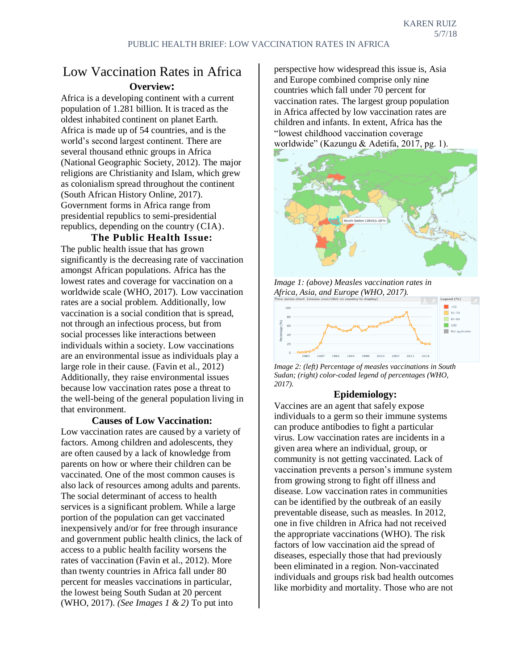# Low Vaccination Rates in Africa **Overview:**

Africa is a developing continent with a current population of 1.281 billion. It is traced as the oldest inhabited continent on planet Earth. Africa is made up of 54 countries, and is the world's second largest continent. There are several thousand ethnic groups in Africa (National Geographic Society, 2012). The major religions are Christianity and Islam, which grew as colonialism spread throughout the continent (South African History Online, 2017). Government forms in Africa range from presidential republics to semi-presidential republics, depending on the country (CIA).

## **The Public Health Issue:**

The public health issue that has grown significantly is the decreasing rate of vaccination amongst African populations. Africa has the lowest rates and coverage for vaccination on a worldwide scale (WHO, 2017). Low vaccination rates are a social problem. Additionally, low vaccination is a social condition that is spread, not through an infectious process, but from social processes like interactions between individuals within a society. Low vaccinations are an environmental issue as individuals play a large role in their cause. (Favin et al., 2012) Additionally, they raise environmental issues because low vaccination rates pose a threat to the well-being of the general population living in that environment.

## **Causes of Low Vaccination:**

Low vaccination rates are caused by a variety of factors. Among children and adolescents, they are often caused by a lack of knowledge from parents on how or where their children can be vaccinated. One of the most common causes is also lack of resources among adults and parents. The social determinant of access to health services is a significant problem. While a large portion of the population can get vaccinated inexpensively and/or for free through insurance and government public health clinics, the lack of access to a public health facility worsens the rates of vaccination (Favin et al., 2012). More than twenty countries in Africa fall under 80 percent for measles vaccinations in particular, the lowest being South Sudan at 20 percent (WHO, 2017). *(See Images 1 & 2)* To put into

perspective how widespread this issue is, Asia and Europe combined comprise only nine countries which fall under 70 percent for vaccination rates. The largest group population in Africa affected by low vaccination rates are children and infants. In extent, Africa has the "lowest childhood vaccination coverage worldwide" (Kazungu & Adetifa, 2017, pg. 1).



*Image 1: (above) Measles vaccination rates in Africa, Asia, and Europe (WHO, 2017).*





## **Epidemiology:**

Vaccines are an agent that safely expose individuals to a germ so their immune systems can produce antibodies to fight a particular virus. Low vaccination rates are incidents in a given area where an individual, group, or community is not getting vaccinated. Lack of vaccination prevents a person's immune system from growing strong to fight off illness and disease. Low vaccination rates in communities can be identified by the outbreak of an easily preventable disease, such as measles. In 2012, one in five children in Africa had not received the appropriate vaccinations (WHO). The risk factors of low vaccination aid the spread of diseases, especially those that had previously been eliminated in a region. Non-vaccinated individuals and groups risk bad health outcomes like morbidity and mortality. Those who are not